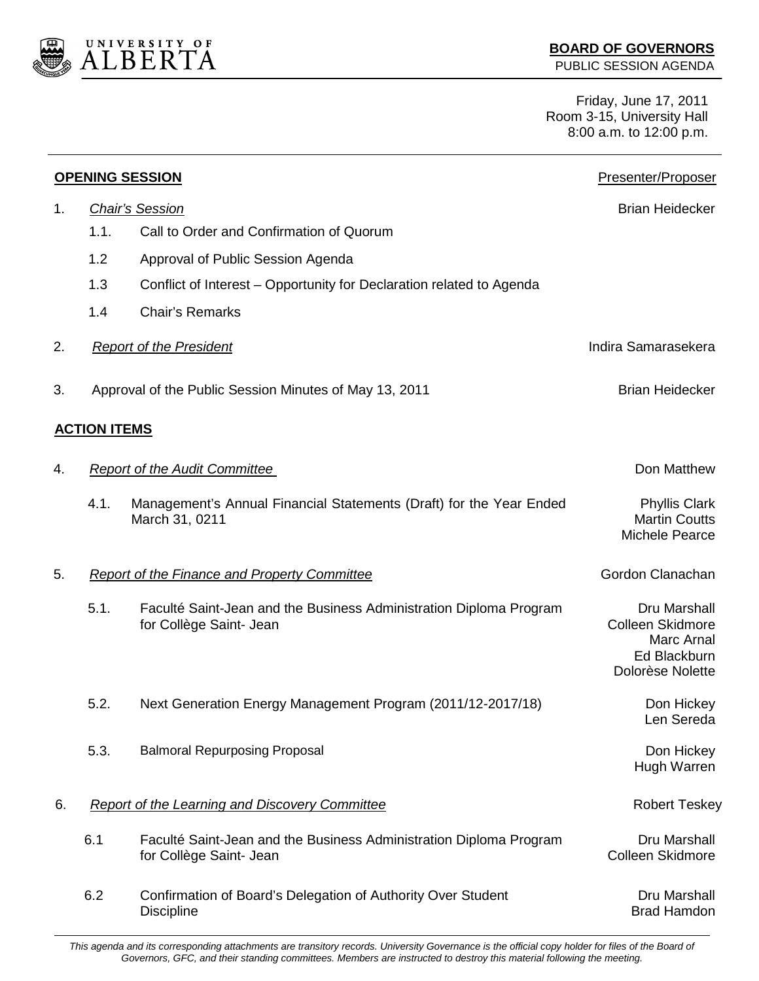

Friday, June 17, 2011 Room 3-15, University Hall 8:00 a.m. to 12:00 p.m.

| <b>OPENING SESSION</b> |                                                       |                                                                                               | Presenter/Proposer                                                                        |
|------------------------|-------------------------------------------------------|-----------------------------------------------------------------------------------------------|-------------------------------------------------------------------------------------------|
| 1.                     | <b>Chair's Session</b>                                |                                                                                               | <b>Brian Heidecker</b>                                                                    |
|                        | 1.1.                                                  | Call to Order and Confirmation of Quorum                                                      |                                                                                           |
|                        | 1.2                                                   | Approval of Public Session Agenda                                                             |                                                                                           |
|                        | 1.3                                                   | Conflict of Interest – Opportunity for Declaration related to Agenda                          |                                                                                           |
|                        | 1.4                                                   | <b>Chair's Remarks</b>                                                                        |                                                                                           |
| 2.                     |                                                       | <b>Report of the President</b>                                                                | Indira Samarasekera                                                                       |
| 3.                     |                                                       | Approval of the Public Session Minutes of May 13, 2011                                        | <b>Brian Heidecker</b>                                                                    |
|                        | <b>ACTION ITEMS</b>                                   |                                                                                               |                                                                                           |
| 4.                     |                                                       | <b>Report of the Audit Committee</b>                                                          | Don Matthew                                                                               |
|                        | 4.1.                                                  | Management's Annual Financial Statements (Draft) for the Year Ended<br>March 31, 0211         | <b>Phyllis Clark</b><br><b>Martin Coutts</b><br><b>Michele Pearce</b>                     |
| 5.                     | <b>Report of the Finance and Property Committee</b>   |                                                                                               | Gordon Clanachan                                                                          |
|                        | 5.1.                                                  | Faculté Saint-Jean and the Business Administration Diploma Program<br>for Collège Saint- Jean | Dru Marshall<br><b>Colleen Skidmore</b><br>Marc Arnal<br>Ed Blackburn<br>Dolorèse Nolette |
|                        | 5.2.                                                  | Next Generation Energy Management Program (2011/12-2017/18)                                   | Don Hickey<br>Len Sereda                                                                  |
|                        | 5.3.                                                  | <b>Balmoral Repurposing Proposal</b>                                                          | Don Hickey<br>Hugh Warren                                                                 |
| 6.                     | <b>Report of the Learning and Discovery Committee</b> |                                                                                               | <b>Robert Teskey</b>                                                                      |
|                        | 6.1                                                   | Faculté Saint-Jean and the Business Administration Diploma Program<br>for Collège Saint- Jean | Dru Marshall<br><b>Colleen Skidmore</b>                                                   |
|                        | 6.2                                                   | Confirmation of Board's Delegation of Authority Over Student<br><b>Discipline</b>             | Dru Marshall<br><b>Brad Hamdon</b>                                                        |

*This agenda and its corresponding attachments are transitory records. University Governance is the official copy holder for files of the Board of Governors, GFC, and their standing committees. Members are instructed to destroy this material following the meeting.*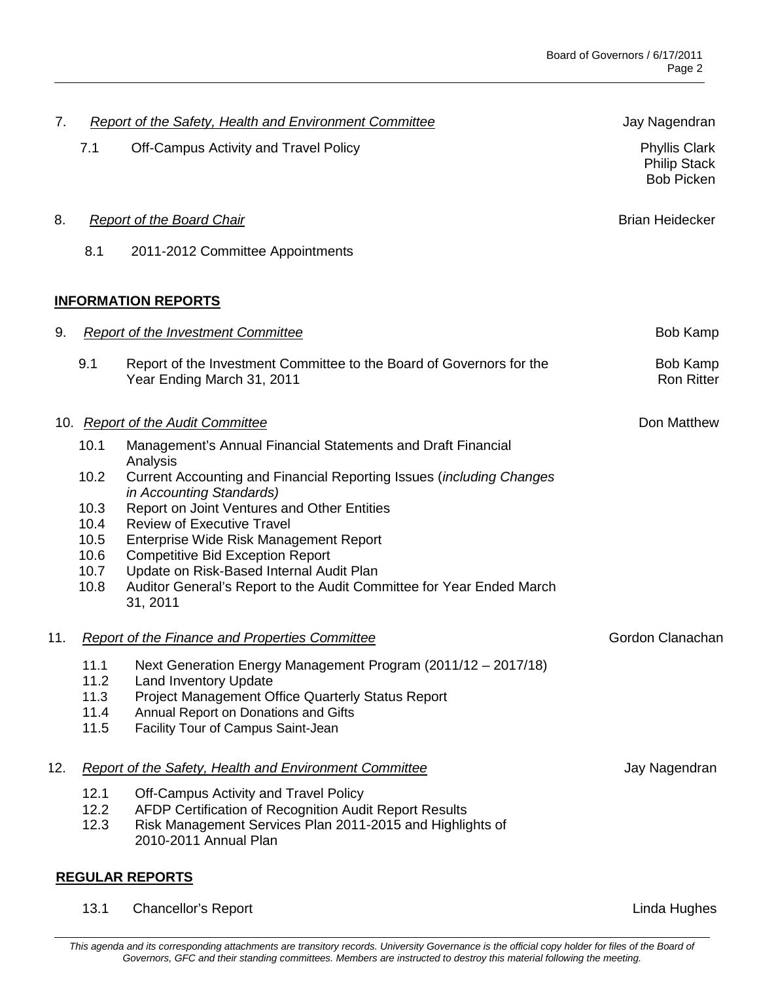| 7.                         |                                                               | Report of the Safety, Health and Environment Committee                                                                                       | Jay Nagendran                                                    |  |  |
|----------------------------|---------------------------------------------------------------|----------------------------------------------------------------------------------------------------------------------------------------------|------------------------------------------------------------------|--|--|
|                            | 7.1                                                           | Off-Campus Activity and Travel Policy                                                                                                        | <b>Phyllis Clark</b><br><b>Philip Stack</b><br><b>Bob Picken</b> |  |  |
| 8.                         |                                                               | <b>Report of the Board Chair</b>                                                                                                             | <b>Brian Heidecker</b>                                           |  |  |
|                            | 8.1                                                           | 2011-2012 Committee Appointments                                                                                                             |                                                                  |  |  |
| <b>INFORMATION REPORTS</b> |                                                               |                                                                                                                                              |                                                                  |  |  |
| 9.                         |                                                               | <b>Report of the Investment Committee</b>                                                                                                    | <b>Bob Kamp</b>                                                  |  |  |
|                            | 9.1                                                           | Report of the Investment Committee to the Board of Governors for the<br>Year Ending March 31, 2011                                           | Bob Kamp<br><b>Ron Ritter</b>                                    |  |  |
|                            |                                                               | 10. Report of the Audit Committee                                                                                                            | Don Matthew                                                      |  |  |
|                            | 10.1                                                          | Management's Annual Financial Statements and Draft Financial<br>Analysis                                                                     |                                                                  |  |  |
|                            | 10.2                                                          | Current Accounting and Financial Reporting Issues (including Changes<br>in Accounting Standards)                                             |                                                                  |  |  |
|                            | 10.3                                                          | Report on Joint Ventures and Other Entities                                                                                                  |                                                                  |  |  |
|                            | 10.4<br>10.5                                                  | <b>Review of Executive Travel</b><br>Enterprise Wide Risk Management Report                                                                  |                                                                  |  |  |
|                            | 10.6                                                          | <b>Competitive Bid Exception Report</b>                                                                                                      |                                                                  |  |  |
|                            | 10.7<br>10.8                                                  | Update on Risk-Based Internal Audit Plan<br>Auditor General's Report to the Audit Committee for Year Ended March<br>31, 2011                 |                                                                  |  |  |
| 11.                        | <b>Report of the Finance and Properties Committee</b>         |                                                                                                                                              | Gordon Clanachan                                                 |  |  |
|                            |                                                               | 11.1 Next Generation Energy Management Program (2011/12 - 2017/18)                                                                           |                                                                  |  |  |
|                            | 11.2<br>11.3                                                  | <b>Land Inventory Update</b>                                                                                                                 |                                                                  |  |  |
|                            | 11.4                                                          | <b>Project Management Office Quarterly Status Report</b><br>Annual Report on Donations and Gifts                                             |                                                                  |  |  |
|                            | 11.5                                                          | Facility Tour of Campus Saint-Jean                                                                                                           |                                                                  |  |  |
| 12.                        | <b>Report of the Safety, Health and Environment Committee</b> |                                                                                                                                              | Jay Nagendran                                                    |  |  |
|                            | 12.1                                                          | Off-Campus Activity and Travel Policy                                                                                                        |                                                                  |  |  |
|                            | 12.2<br>12.3                                                  | AFDP Certification of Recognition Audit Report Results<br>Risk Management Services Plan 2011-2015 and Highlights of<br>2010-2011 Annual Plan |                                                                  |  |  |
|                            |                                                               |                                                                                                                                              |                                                                  |  |  |

## **REGULAR REPORTS**

13.1 Chancellor's Report **Linda Hughes** 2.1 Chancellor's Report